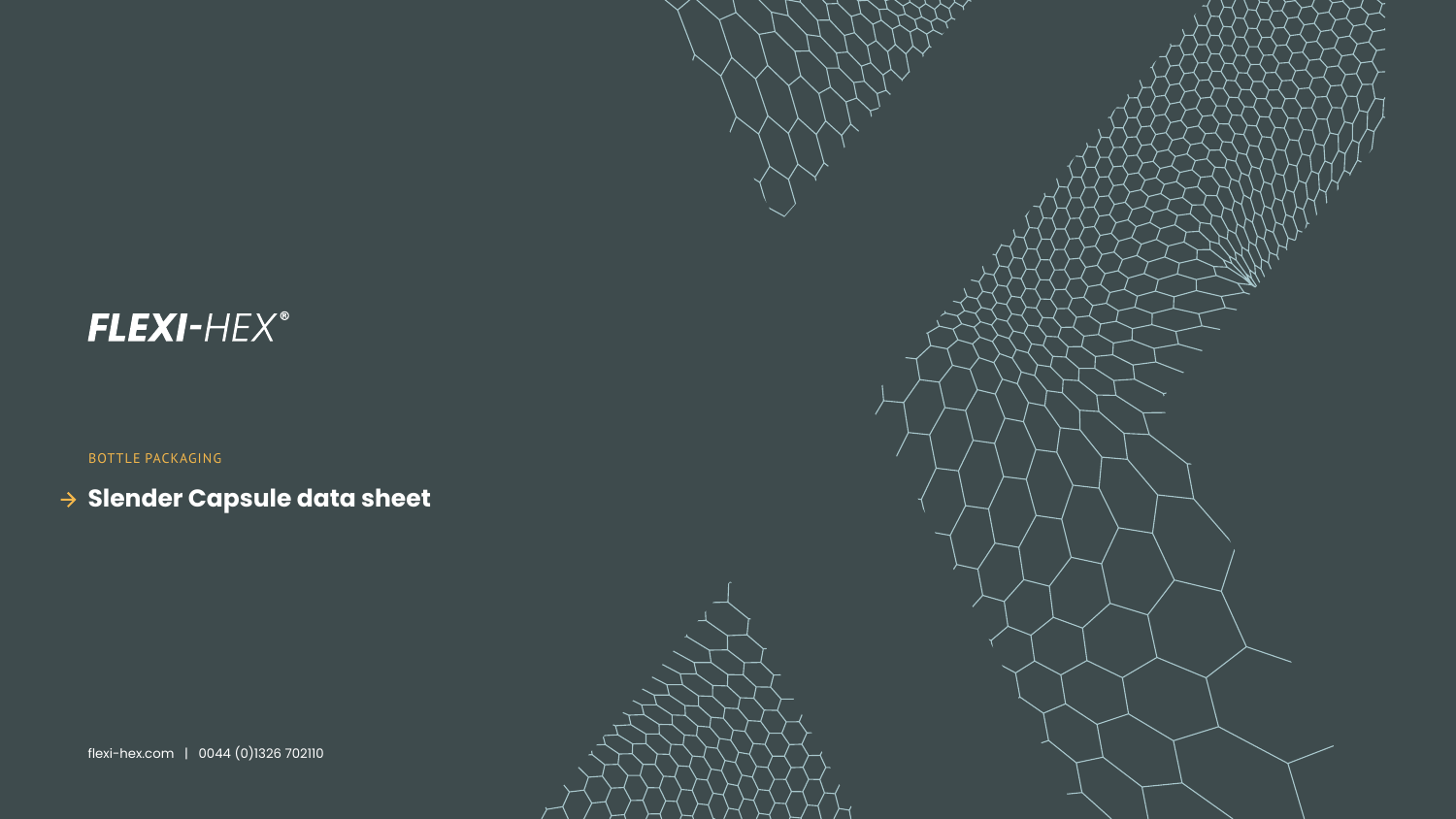

BOTTLE PACKAGING

# **Slender Capsule data sheet**

flexi-hex.com | 0044 (0)1326 702110



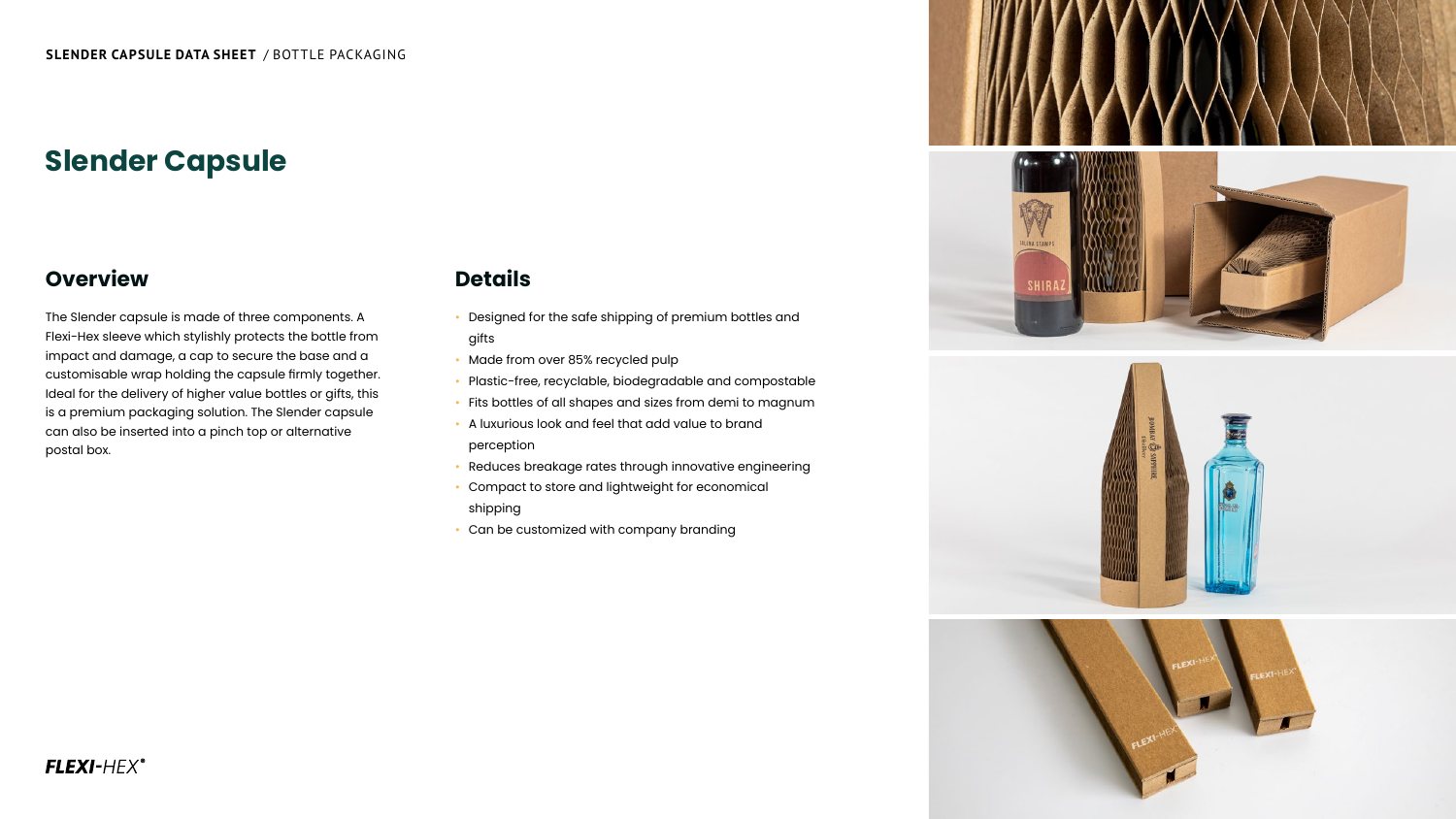The Slender capsule is made of three components. A Flexi-Hex sleeve which stylishly protects the bottle from impact and damage, a cap to secure the base and a customisable wrap holding the capsule firmly together. Ideal for the delivery of higher value bottles or gifts, this is a premium packaging solution. The Slender capsule can also be inserted into a pinch top or alternative postal box.

### **Overview**

- Designed for the safe shipping of premium bottles and gifts
- Made from over 85% recycled pulp
- Plastic-free, recyclable, biodegradable and compostable
- Fits bottles of all shapes and sizes from demi to magnum
- A luxurious look and feel that add value to brand perception
- Reduces breakage rates through innovative engineering
- Compact to store and lightweight for economical shipping
- Can be customized with company branding

### FLEXI-HEX®











# **Details**

# **Slender Capsule**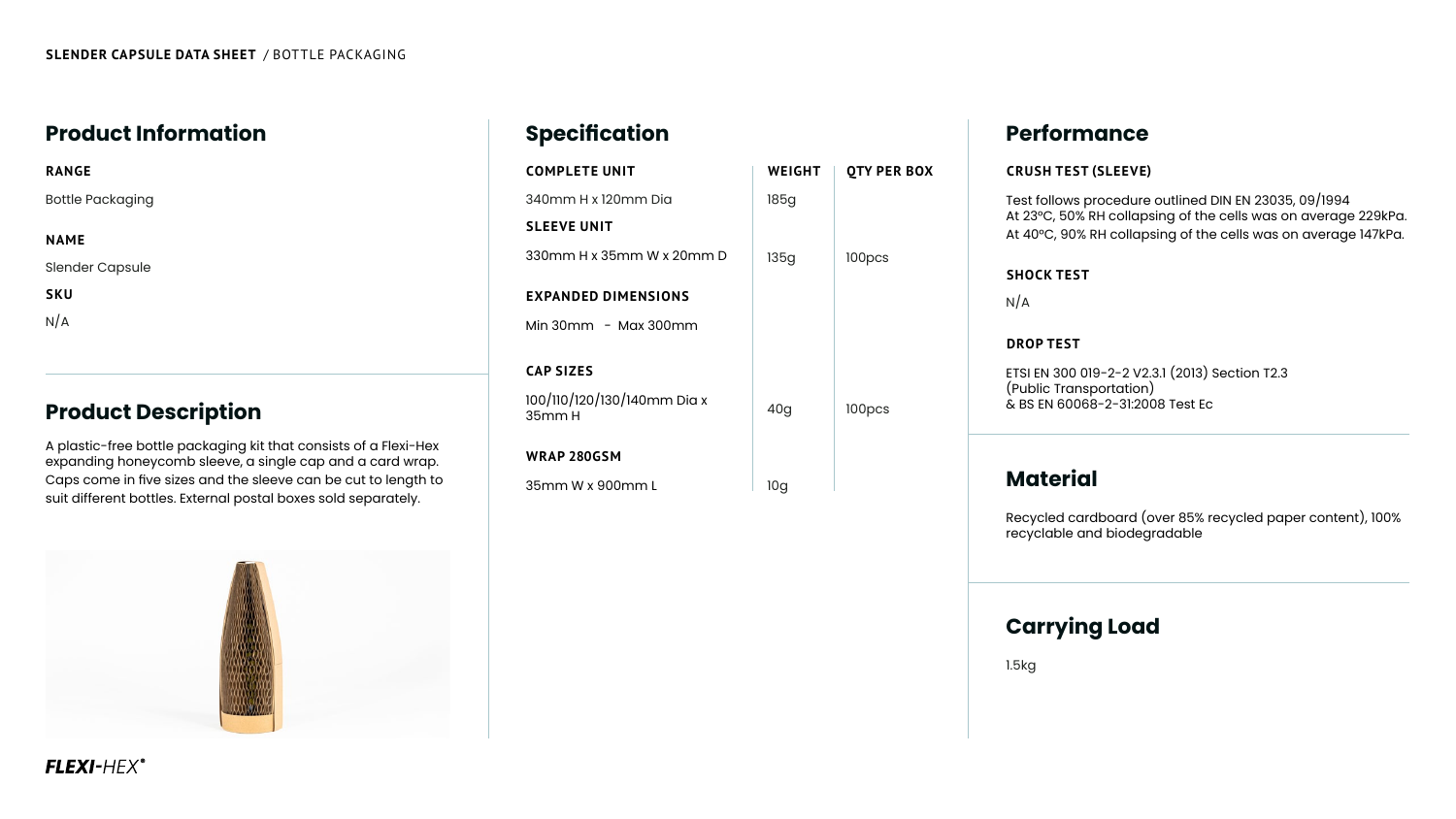# **Product Information**

# **Product Description**

### **Material**

A plastic-free bottle packaging kit that consists of a Flexi-Hex expanding honeycomb sleeve, a single cap and a card wrap. Caps come in five sizes and the sleeve can be cut to length to suit different bottles. External postal boxes sold separately.



## FLEXI-HEX®

# **Specification Performance**

100/110/120/130/140mm Dio 35mm H

#### **COMPLETE UNIT**

340mm H x 120mm Dia

#### **SLEEVE UNIT**

330mm H x 35mm W x 20n

#### **EXPANDED DIMENSIONS**

Min 30mm - Max 300mm

### **CAP SIZES**

#### **WRAP 280GSM**

35mm W x 900mm L

#### **RANGE**

Bottle Packaging

#### **NAME**

Slender Capsule

**SKU**

 $N/A$ 

|      | <b>WEIGHT</b> | <b>QTY PER BOX</b> |
|------|---------------|--------------------|
|      | <b>185g</b>   |                    |
| mm D | <b>135g</b>   | 100pcs             |
| n    |               |                    |
| a x  | 40g           | 100pcs             |
|      | <b>10g</b>    |                    |

#### **CRUSH TEST (SLEEVE)**

Test follows procedure outlined DIN EN 23035, 09/1994 At 23°C, 50% RH collapsing of the cells was on average 229kPa. At 40°C, 90% RH collapsing of the cells was on average 147kPa.

#### **SHOCK TEST**

 $N/A$ 

#### **DROP TEST**

ETSI EN 300 019-2-2 V2.3.1 (2013) Section T2.3 (Public Transportation) & BS EN 60068-2-31:2008 Test Ec

Recycled cardboard (over 85% recycled paper content), 100% recyclable and biodegradable

# **Carrying Load**

1.5kg